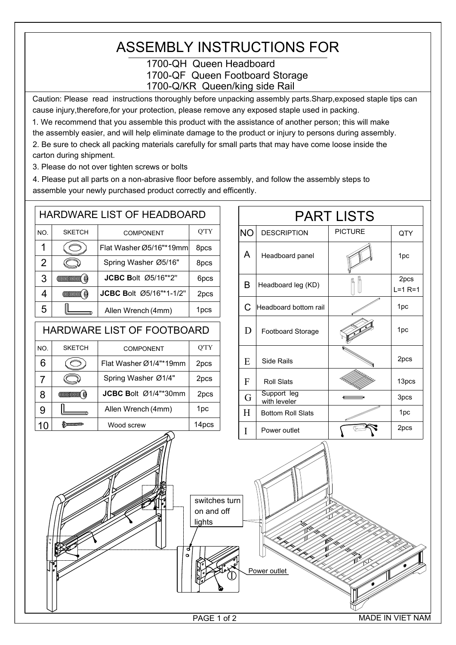## ASSEMBLY INSTRUCTIONS FOR

## 1700-QH Queen Headboard 1700-QF Queen Footboard Storage 1700-Q/KR Queen/king side Rail

Caution: Please read instructions thoroughly before unpacking assembly parts.Sharp,exposed staple tips can cause injury,therefore,for your protection, please remove any exposed staple used in packing.

1. We recommend that you assemble this product with the assistance of another person; this will make the assembly easier, and will help eliminate damage to the product or injury to persons during assembly. 2. Be sure to check all packing materials carefully for small parts that may have come loose inside the

carton during shipment.

3. Please do not over tighten screws or bolts

4. Please put all parts on a non-abrasive floor before assembly, and follow the assembly steps to assemble your newly purchased product correctly and efficently.